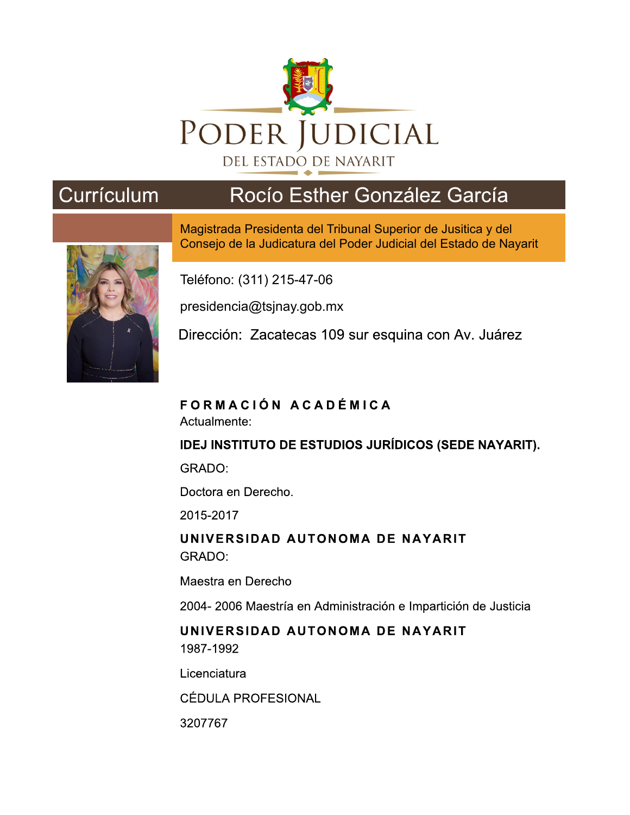

# Currículum

# Rocío Esther González García



Magistrada Presidenta del Tribunal Superior de Jusitica y del Consejo de la Judicatura del Poder Judicial del Estado de Nayarit

Teléfono: (311) 215-47-06

presidencia@tsjnay.gob.mx

Dirección: Zacatecas 109 sur esquina con Av. Juárez

FORMACIÓN ACADÉMICA Actualmente:

# IDEJ INSTITUTO DE ESTUDIOS JURÍDICOS (SEDE NAYARIT).

**GRADO:** 

Doctora en Derecho.

2015-2017

UNIVERSIDAD AUTONOMA DE NAYARIT **GRADO:** 

Maestra en Derecho

2004-2006 Maestría en Administración e Impartición de Justicia

UNIVERSIDAD AUTONOMA DE NAYARIT 1987-1992

Licenciatura

CÉDULA PROFESIONAL

3207767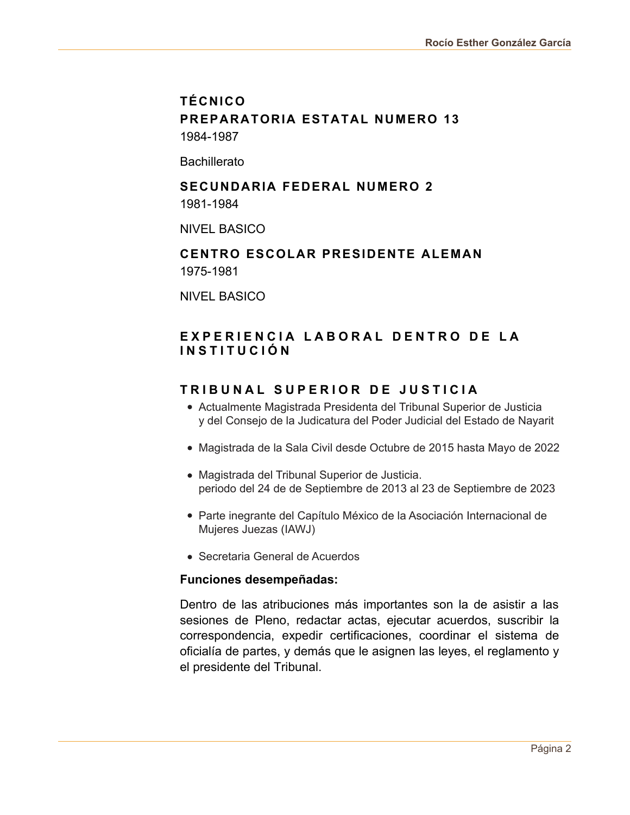# **TÉCNICO** PREPARATORIA ESTATAL NUMERO 13 1984-1987

**Bachillerato** 

## **SECUNDARIA FEDERAL NUMERO 2**

1981-1984

NIVEL BASICO

CENTRO ESCOLAR PRESIDENTE ALEMAN 1975-1981

**NIVEL BASICO** 

## EXPERIENCIA LABORAL DENTRO DE LA **INSTITUCIÓN**

## TRIBUNAL SUPERIOR DE JUSTICIA

- Actualmente Magistrada Presidenta del Tribunal Superior de Justicia y del Consejo de la Judicatura del Poder Judicial del Estado de Navarit
- Magistrada de la Sala Civil desde Octubre de 2015 hasta Mayo de 2022
- · Magistrada del Tribunal Superior de Justicia. periodo del 24 de de Septiembre de 2013 al 23 de Septiembre de 2023
- Parte inegrante del Capítulo México de la Asociación Internacional de Mujeres Juezas (IAWJ)
- Secretaria General de Acuerdos

#### **Funciones desempeñadas:**

Dentro de las atribuciones más importantes son la de asistir a las sesiones de Pleno, redactar actas, ejecutar acuerdos, suscribir la correspondencia, expedir certificaciones, coordinar el sistema de oficialía de partes, y demás que le asignen las leves, el reglamento y el presidente del Tribunal.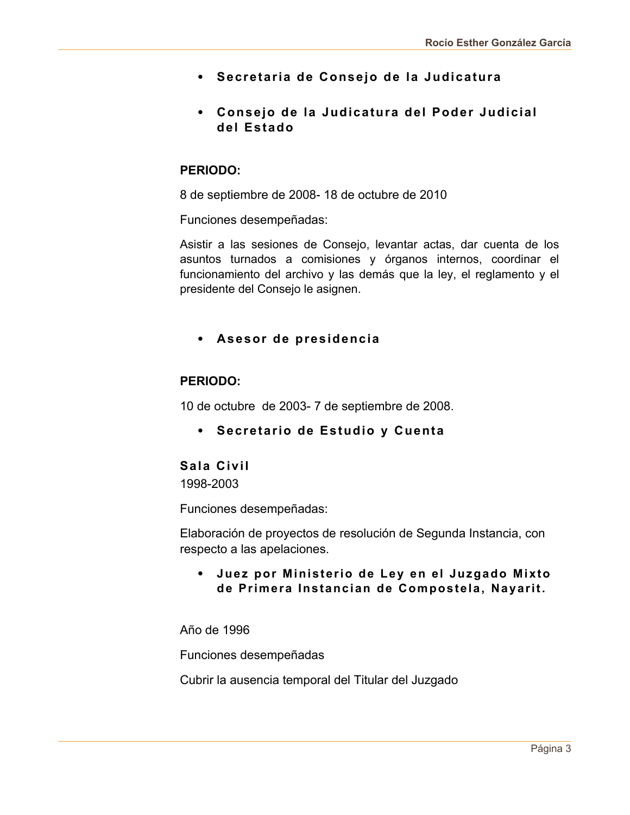- **.** Secretaria de Consejo de la Judicatura
- **Consejo de la Judicatura del Poder Judicial** del Estado

## PERIODO:

8 de septiembre de 2008-18 de octubre de 2010

Funciones desempeñadas:

Asistir a las sesiones de Consejo, levantar actas, dar cuenta de los asuntos turnados a comisiones y órganos internos, coordinar el funcionamiento del archivo y las demás que la ley, el reglamento y el presidente del Consejo le asignen.

**• Asesor de presidencia** 

## PERIODO:

10 de octubre de 2003- $7$  de septiembre de 2008.

**• Secretario de Estudio y Cuenta** 

#### **Sala Civil** 1998-2003

Funciones desempeñadas:

Elaboración de proyectos de resolución de Segunda Instancia, con respecto a las apelaciones.

**.** Juez por Ministerio de Ley en el Juzgado Mixto de Primera Instancian de Compostela, Nayarit.

Año de 1996

Funciones desempeñadas

Cubrir la ausencia temporal del Titular del Juzgado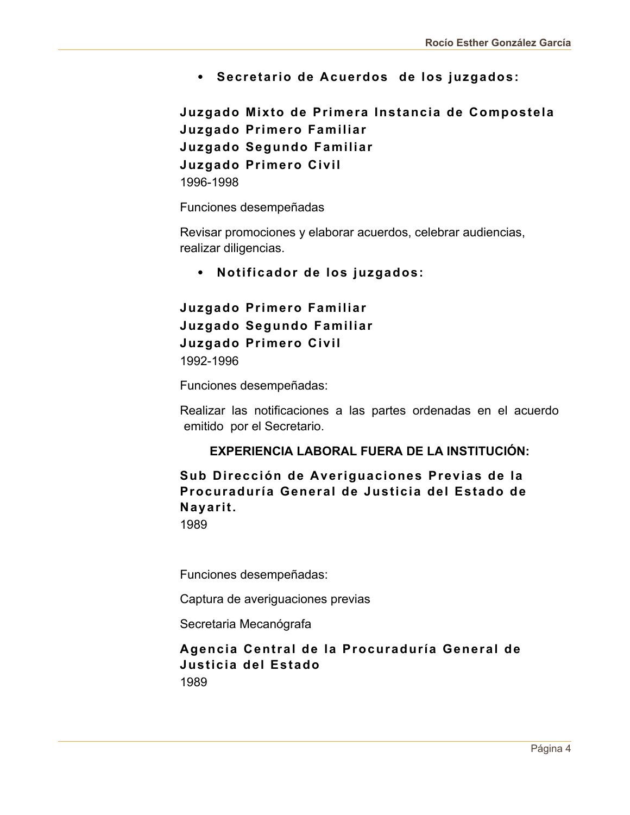**• Secretario de Acuerdos de los juzgados:** 

```
Juzgado Mixto de Primera Instancia de Compostela
Juzgado Primero Familiar
Juzgado Segundo Familiar
Juzgado Primero Civil
1996-1998
```
Funciones desempeñadas

Revisar promociones y elaborar acuerdos, celebrar audiencias, realizar diligencias.

**• Notificador de los juzgados:** 

```
Juzgado Primero Familiar
Juzgado Segundo Familiar
Juzgado Primero Civil
1992-1996
```
Funciones desempeñadas:

Realizar las notificaciones a las partes ordenadas en el acuerdo emitido por el Secretario.

## **EXPERIENCIA LABORAL FUERA DE LA INSTITUCIÓN:**

Sub Dirección de Averiguaciones Previas de la Procuraduría General de Justicia del Estado de Nayarit.

1989

Funciones desempeñadas:

Captura de averiguaciones previas

Secretaria Mecanógrafa

## Agencia Central de la Procuraduría General de **Justicia del Estado** 1989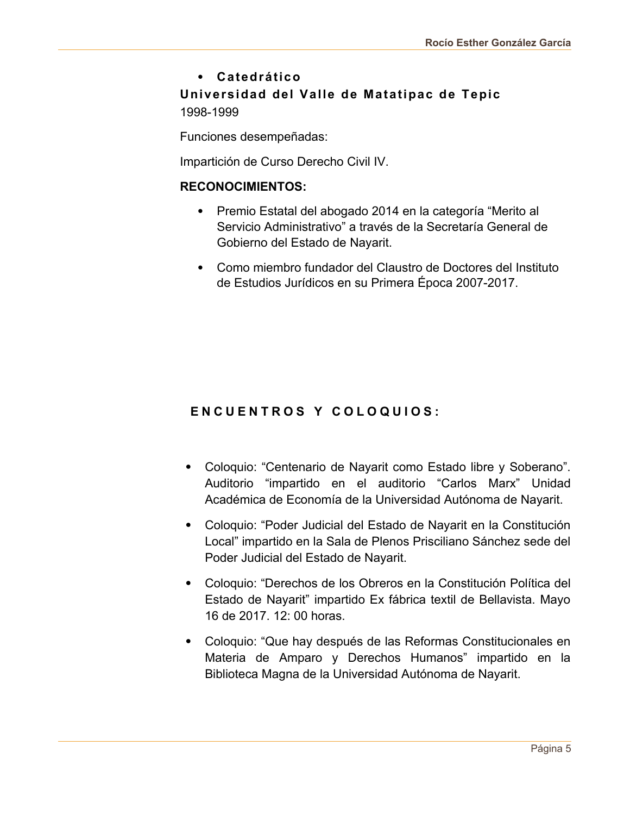**• Catedrático** 

# Universidad del Valle de Matatipac de Tepic 1998-1999

Funciones desempeñadas:

Impartición de Curso Derecho Civil IV.

#### $RECONOCIMIENTOS:$

- . Premio Estatal del abogado 2014 en la categoría "Merito al Servicio Administrativo" a través de la Secretaría General de Gobierno del Estado de Nayarit.
- . Como miembro fundador del Claustro de Doctores del Instituto de Estudios Jurídicos en su Primera Época 2007-2017.

# ENCUENTROS Y COLOQUIOS:

- Coloquio: "Centenario de Nayarit como Estado libre y Soberano". Auditorio "impartido en el auditorio "Carlos Marx" Unidad Académica de Economía de la Universidad Autónoma de Nayarit.
- Coloquio: "Poder Judicial del Estado de Nayarit en la Constitución Local" impartido en la Sala de Plenos Prisciliano Sánchez sede del Poder Judicial del Estado de Nayarit.
- . Coloquio: "Derechos de los Obreros en la Constitución Política del Estado de Nayarit" impartido Ex fábrica textil de Bellavista. Mayo 16 de 2017. 12: 00 horas.
- . Coloquio: "Que hay después de las Reformas Constitucionales en Materia de Amparo y Derechos Humanos" impartido en la Biblioteca Magna de la Universidad Autónoma de Nayarit.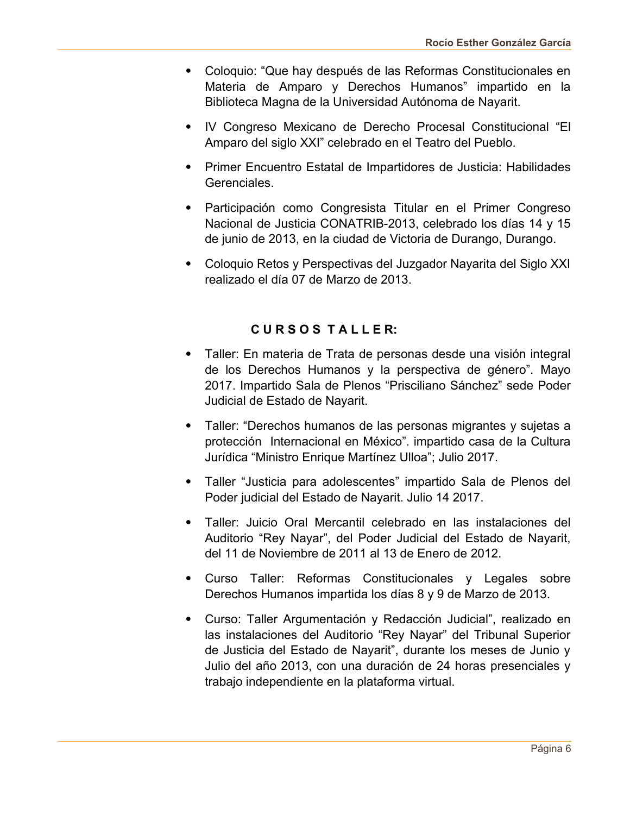- . Coloquio: "Que hay después de las Reformas Constitucionales en Materia de Amparo y Derechos Humanos" impartido en la Biblioteca Magna de la Universidad Autónoma de Nayarit.
- . IV Congreso Mexicano de Derecho Procesal Constitucional "El Amparo del siglo XXI" celebrado en el Teatro del Pueblo.
- . Primer Encuentro Estatal de Impartidores de Justicia: Habilidades Gerenciales.
- . Participación como Congresista Titular en el Primer Congreso Nacional de Justicia CONATRIB-2013, celebrado los días 14 y 15 de junio de 2013, en la ciudad de Victoria de Durango, Durango.
- . Coloquio Retos y Perspectivas del Juzgador Nayarita del Siglo XXI realizado el día 07 de Marzo de 2013.

# **CURSOS TALLER:**

- . Taller: En materia de Trata de personas desde una visión integral de los Derechos Humanos y la perspectiva de género". Mayo 2017. Impartido Sala de Plenos "Prisciliano Sánchez" sede Poder Judicial de Estado de Nayarit.
- . Taller: "Derechos humanos de las personas migrantes y sujetas a protección Internacional en México". impartido casa de la Cultura Jurídica "Ministro Enrique Martínez Ulloa"; Julio 2017.
- . Taller "Justicia para adolescentes" impartido Sala de Plenos del Poder judicial del Estado de Nayarit. Julio 14 2017.
- . Taller: Juicio Oral Mercantil celebrado en las instalaciones del Auditorio "Rey Nayar", del Poder Judicial del Estado de Nayarit, del 11 de Noviembre de 2011 al 13 de Enero de 2012.
- . Curso Taller: Reformas Constitucionales y Legales sobre Derechos Humanos impartida los días 8 y 9 de Marzo de 2013.
- . Curso: Taller Argumentación y Redacción Judicial", realizado en las instalaciones del Auditorio "Rey Nayar" del Tribunal Superior de Justicia del Estado de Nayarit", durante los meses de Junio y Julio del año 2013, con una duración de 24 horas presenciales y trabajo independiente en la plataforma virtual.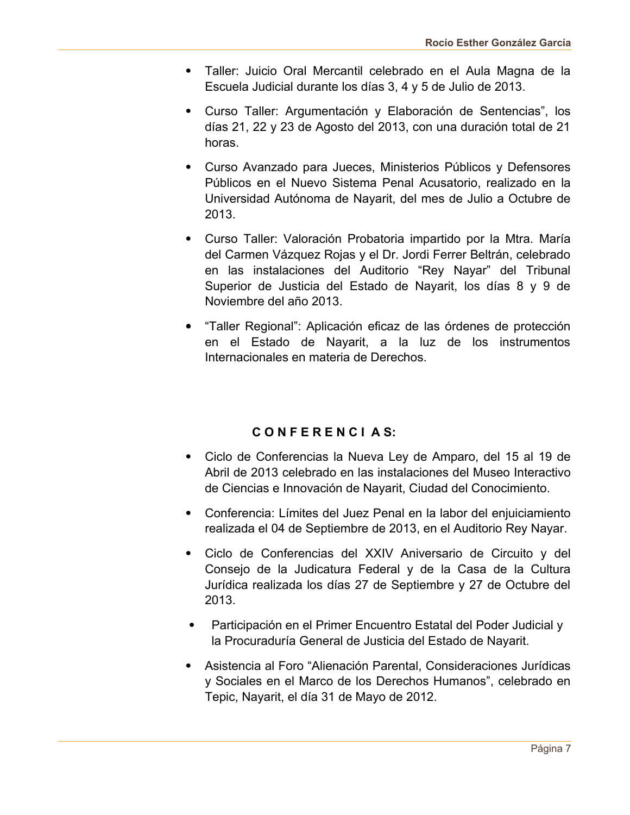- . Taller: Juicio Oral Mercantil celebrado en el Aula Magna de la Escuela Judicial durante los días 3, 4 y 5 de Julio de 2013.
- . Curso Taller: Argumentación y Elaboración de Sentencias", los días 21, 22 y 23 de Agosto del 2013, con una duración total de 21 horas.
- . Curso Avanzado para Jueces, Ministerios Públicos y Defensores Públicos en el Nuevo Sistema Penal Acusatorio, realizado en la Universidad Autónoma de Nayarit, del mes de Julio a Octubre de 2013.
- . Curso Taller: Valoración Probatoria impartido por la Mtra. María del Carmen Vázquez Rojas y el Dr. Jordi Ferrer Beltrán, celebrado en las instalaciones del Auditorio "Rey Nayar" del Tribunal Superior de Justicia del Estado de Nayarit, los días 8 y 9 de Noviembre del año 2013.
- . "Taller Regional": Aplicación eficaz de las órdenes de protección en el Estado de Nayarit, a la luz de los instrumentos Internacionales en materia de Derechos.

# **4%7%5%A%&%!%&%5%4%6%%9%:\**

- Ciclo de Conferencias la Nueva Ley de Amparo, del 15 al 19 de Abril de 2013 celebrado en las instalaciones del Museo Interactivo de Ciencias e Innovación de Nayarit, Ciudad del Conocimiento.
- . Conferencia: Límites del Juez Penal en la labor del enjuiciamiento realizada el 04 de Septiembre de 2013, en el Auditorio Rey Nayar.
- . Ciclo de Conferencias del XXIV Aniversario de Circuito y del Consejo de la Judicatura Federal y de la Casa de la Cultura Jurídica realizada los días 27 de Septiembre y 27 de Octubre del 2013.
- . Participación en el Primer Encuentro Estatal del Poder Judicial y la Procuraduría General de Justicia del Estado de Nayarit.
- . Asistencia al Foro "Alienación Parental, Consideraciones Jurídicas y Sociales en el Marco de los Derechos Humanos", celebrado en Tepic, Nayarit, el día 31 de Mayo de 2012.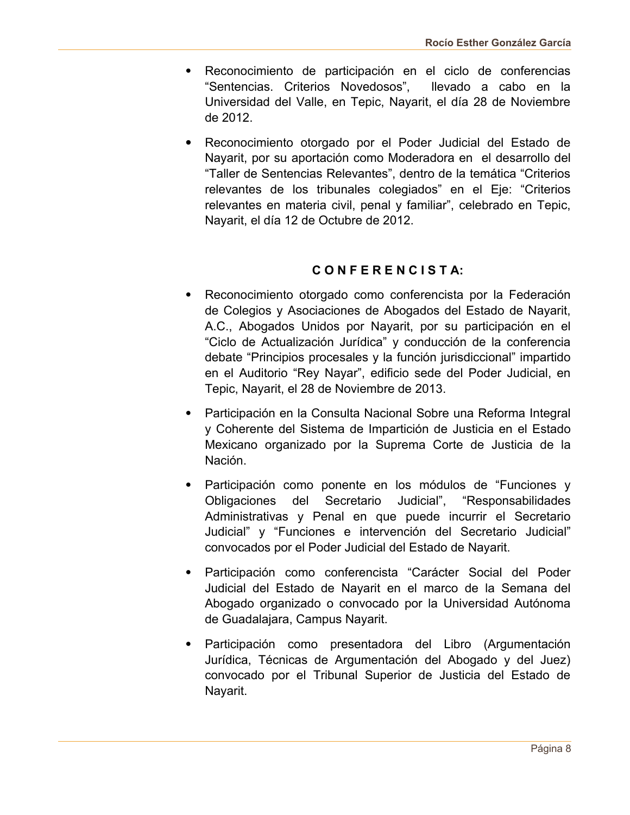- . Reconocimiento de participación en el ciclo de conferencias "Sentencias. Criterios Novedosos", llevado a cabo en la Universidad del Valle, en Tepic, Nayarit, el día 28 de Noviembre de 2012.
- . Reconocimiento otorgado por el Poder Judicial del Estado de Nayarit, por su aportación como Moderadora en el desarrollo del "Taller de Sentencias Relevantes", dentro de la temática "Criterios relevantes de los tribunales colegiados" en el Eje: "Criterios relevantes en materia civil, penal y familiar", celebrado en Tepic, Nayarit, el día 12 de Octubre de 2012.

## $$

- Reconocimiento otorgado como conferencista por la Federación de Colegios y Asociaciones de Abogados del Estado de Nayarit, A.C., Abogados Unidos por Nayarit, por su participación en el "Ciclo de Actualización Jurídica" y conducción de la conferencia debate "Principios procesales y la función jurisdiccional" impartido en el Auditorio "Rey Nayar", edificio sede del Poder Judicial, en Tepic, Nayarit, el 28 de Noviembre de 2013.
- . Participación en la Consulta Nacional Sobre una Reforma Integral y Coherente del Sistema de Impartición de Justicia en el Estado Mexicano organizado por la Suprema Corte de Justicia de la Nación.
- Participación como ponente en los módulos de "Funciones y Obligaciones del Secretario Judicial", "Responsabilidades Administrativas y Penal en que puede incurrir el Secretario Judicial" y "Funciones e intervención del Secretario Judicial" convocados por el Poder Judicial del Estado de Nayarit.
- Participación como conferencista "Carácter Social del Poder Judicial del Estado de Nayarit en el marco de la Semana del Abogado organizado o convocado por la Universidad Autónoma de Guadalajara, Campus Nayarit.
- Participación como presentadora del Libro (Argumentación Jurídica, Técnicas de Argumentación del Abogado y del Juez) convocado por el Tribunal Superior de Justicia del Estado de Nayarit.